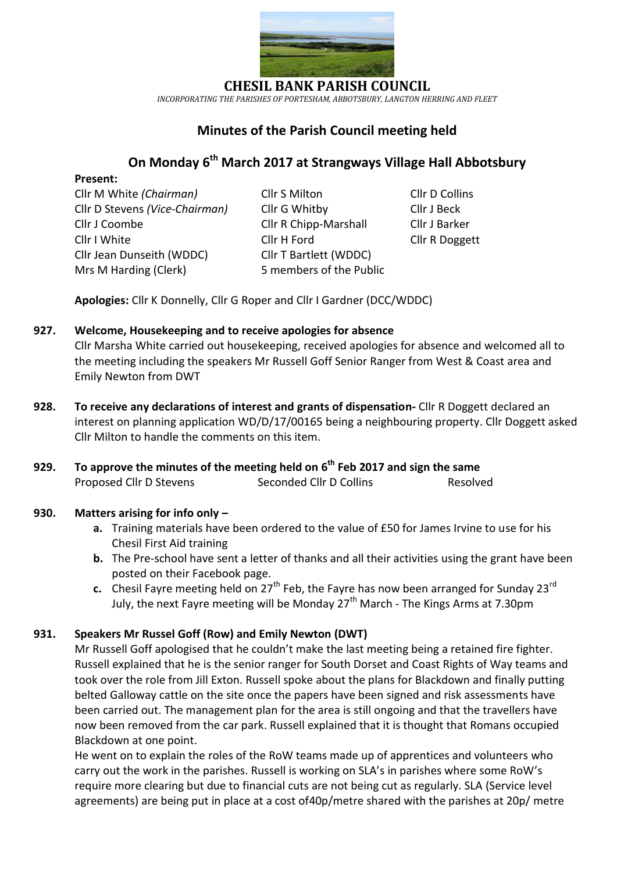

*INCORPORATING THE PARISHES OF PORTESHAM, ABBOTSBURY, LANGTON HERRING AND FLEET*

## **Minutes of the Parish Council meeting held**

# **On Monday 6 th March 2017 at Strangways Village Hall Abbotsbury**

### **Present:**

Cllr M White *(Chairman)* Cllr S Milton Cllr D Collins Cllr D Stevens *(Vice-Chairman)* Cllr G Whitby Cllr J Beck Cllr J Coombe Cllr R Chipp-Marshall Cllr J Barker Cllr I White Cllr H Ford Cllr R Doggett Cllr Jean Dunseith (WDDC) Cllr T Bartlett (WDDC) Mrs M Harding (Clerk)5 members of the Public

- 
- 

**Apologies:** Cllr K Donnelly, Cllr G Roper and Cllr I Gardner (DCC/WDDC)

## **927. Welcome, Housekeeping and to receive apologies for absence**

Cllr Marsha White carried out housekeeping, received apologies for absence and welcomed all to the meeting including the speakers Mr Russell Goff Senior Ranger from West & Coast area and Emily Newton from DWT

- **928. To receive any declarations of interest and grants of dispensation-** Cllr R Doggett declared an interest on planning application WD/D/17/00165 being a neighbouring property. Cllr Doggett asked Cllr Milton to handle the comments on this item.
- **929. To approve the minutes of the meeting held on 6 th Feb 2017 and sign the same** Proposed Cllr D Stevens Seconded Cllr D Collins Resolved

## **930. Matters arising for info only –**

- **a.** Training materials have been ordered to the value of £50 for James Irvine to use for his Chesil First Aid training
- **b.** The Pre-school have sent a letter of thanks and all their activities using the grant have been posted on their Facebook page.
- **c.** Chesil Fayre meeting held on 27<sup>th</sup> Feb, the Fayre has now been arranged for Sunday 23<sup>rd</sup> July, the next Fayre meeting will be Monday  $27<sup>th</sup>$  March - The Kings Arms at 7.30pm

## **931. Speakers Mr Russel Goff (Row) and Emily Newton (DWT)**

Mr Russell Goff apologised that he couldn't make the last meeting being a retained fire fighter. Russell explained that he is the senior ranger for South Dorset and Coast Rights of Way teams and took over the role from Jill Exton. Russell spoke about the plans for Blackdown and finally putting belted Galloway cattle on the site once the papers have been signed and risk assessments have been carried out. The management plan for the area is still ongoing and that the travellers have now been removed from the car park. Russell explained that it is thought that Romans occupied Blackdown at one point.

He went on to explain the roles of the RoW teams made up of apprentices and volunteers who carry out the work in the parishes. Russell is working on SLA's in parishes where some RoW's require more clearing but due to financial cuts are not being cut as regularly. SLA (Service level agreements) are being put in place at a cost of40p/metre shared with the parishes at 20p/ metre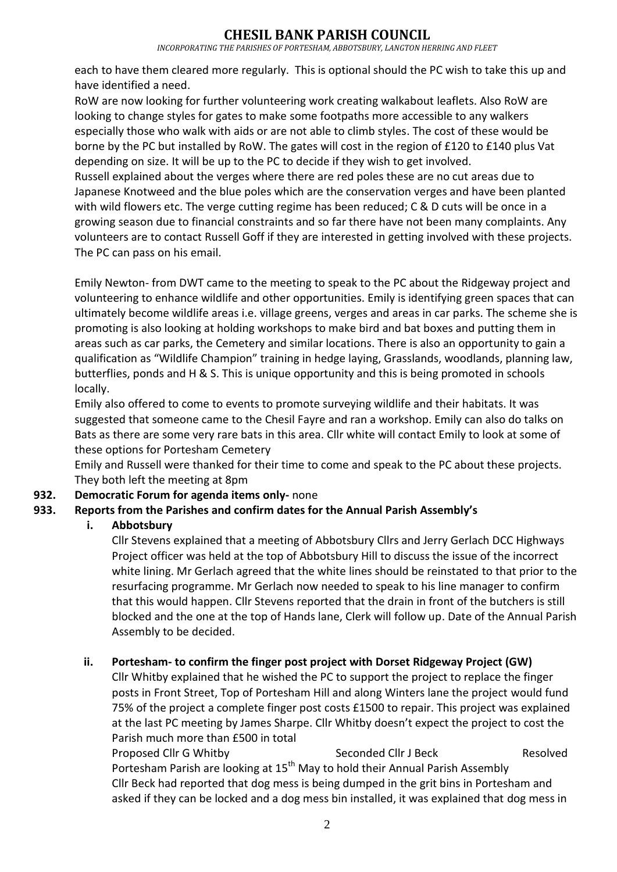## **CHESIL BANK PARISH COUNCIL**

#### *INCORPORATING THE PARISHES OF PORTESHAM, ABBOTSBURY, LANGTON HERRING AND FLEET*

each to have them cleared more regularly. This is optional should the PC wish to take this up and have identified a need.

RoW are now looking for further volunteering work creating walkabout leaflets. Also RoW are looking to change styles for gates to make some footpaths more accessible to any walkers especially those who walk with aids or are not able to climb styles. The cost of these would be borne by the PC but installed by RoW. The gates will cost in the region of £120 to £140 plus Vat depending on size. It will be up to the PC to decide if they wish to get involved.

Russell explained about the verges where there are red poles these are no cut areas due to Japanese Knotweed and the blue poles which are the conservation verges and have been planted with wild flowers etc. The verge cutting regime has been reduced; C & D cuts will be once in a growing season due to financial constraints and so far there have not been many complaints. Any volunteers are to contact Russell Goff if they are interested in getting involved with these projects. The PC can pass on his email.

Emily Newton- from DWT came to the meeting to speak to the PC about the Ridgeway project and volunteering to enhance wildlife and other opportunities. Emily is identifying green spaces that can ultimately become wildlife areas i.e. village greens, verges and areas in car parks. The scheme she is promoting is also looking at holding workshops to make bird and bat boxes and putting them in areas such as car parks, the Cemetery and similar locations. There is also an opportunity to gain a qualification as "Wildlife Champion" training in hedge laying, Grasslands, woodlands, planning law, butterflies, ponds and H & S. This is unique opportunity and this is being promoted in schools locally.

Emily also offered to come to events to promote surveying wildlife and their habitats. It was suggested that someone came to the Chesil Fayre and ran a workshop. Emily can also do talks on Bats as there are some very rare bats in this area. Cllr white will contact Emily to look at some of these options for Portesham Cemetery

Emily and Russell were thanked for their time to come and speak to the PC about these projects. They both left the meeting at 8pm

## **932. Democratic Forum for agenda items only-** none

## **933. Reports from the Parishes and confirm dates for the Annual Parish Assembly's**

## **i. Abbotsbury**

Cllr Stevens explained that a meeting of Abbotsbury Cllrs and Jerry Gerlach DCC Highways Project officer was held at the top of Abbotsbury Hill to discuss the issue of the incorrect white lining. Mr Gerlach agreed that the white lines should be reinstated to that prior to the resurfacing programme. Mr Gerlach now needed to speak to his line manager to confirm that this would happen. Cllr Stevens reported that the drain in front of the butchers is still blocked and the one at the top of Hands lane, Clerk will follow up. Date of the Annual Parish Assembly to be decided.

## **ii. Portesham- to confirm the finger post project with Dorset Ridgeway Project (GW)**

Cllr Whitby explained that he wished the PC to support the project to replace the finger posts in Front Street, Top of Portesham Hill and along Winters lane the project would fund 75% of the project a complete finger post costs £1500 to repair. This project was explained at the last PC meeting by James Sharpe. Cllr Whitby doesn't expect the project to cost the Parish much more than £500 in total

Proposed Cllr G Whitby Seconded Cllr J Beck Resolved Portesham Parish are looking at 15th May to hold their Annual Parish Assembly Cllr Beck had reported that dog mess is being dumped in the grit bins in Portesham and asked if they can be locked and a dog mess bin installed, it was explained that dog mess in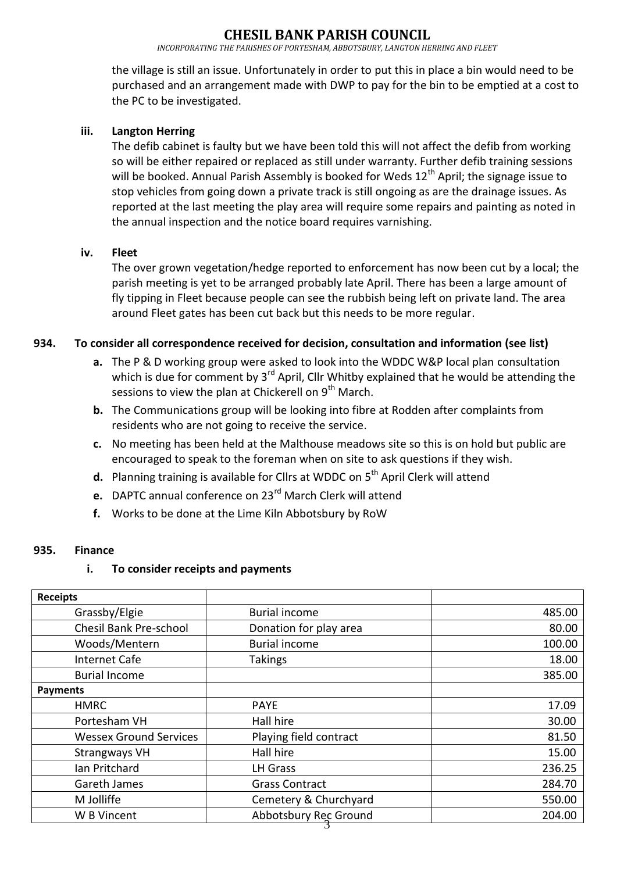## **CHESIL BANK PARISH COUNCIL**

*INCORPORATING THE PARISHES OF PORTESHAM, ABBOTSBURY, LANGTON HERRING AND FLEET*

the village is still an issue. Unfortunately in order to put this in place a bin would need to be purchased and an arrangement made with DWP to pay for the bin to be emptied at a cost to the PC to be investigated.

### **iii. Langton Herring**

The defib cabinet is faulty but we have been told this will not affect the defib from working so will be either repaired or replaced as still under warranty. Further defib training sessions will be booked. Annual Parish Assembly is booked for Weds  $12<sup>th</sup>$  April; the signage issue to stop vehicles from going down a private track is still ongoing as are the drainage issues. As reported at the last meeting the play area will require some repairs and painting as noted in the annual inspection and the notice board requires varnishing.

#### **iv. Fleet**

The over grown vegetation/hedge reported to enforcement has now been cut by a local; the parish meeting is yet to be arranged probably late April. There has been a large amount of fly tipping in Fleet because people can see the rubbish being left on private land. The area around Fleet gates has been cut back but this needs to be more regular.

#### **934. To consider all correspondence received for decision, consultation and information (see list)**

- **a.** The P & D working group were asked to look into the WDDC W&P local plan consultation which is due for comment by  $3^{rd}$  April, Cllr Whitby explained that he would be attending the sessions to view the plan at Chickerell on 9<sup>th</sup> March.
- **b.** The Communications group will be looking into fibre at Rodden after complaints from residents who are not going to receive the service.
- **c.** No meeting has been held at the Malthouse meadows site so this is on hold but public are encouraged to speak to the foreman when on site to ask questions if they wish.
- **d.** Planning training is available for Cllrs at WDDC on 5<sup>th</sup> April Clerk will attend
- **e.** DAPTC annual conference on 23rd March Clerk will attend
- **f.** Works to be done at the Lime Kiln Abbotsbury by RoW

#### **935. Finance**

#### **i. To consider receipts and payments**

| <b>Receipts</b>               |                        |        |
|-------------------------------|------------------------|--------|
| Grassby/Elgie                 | <b>Burial income</b>   | 485.00 |
| Chesil Bank Pre-school        | Donation for play area | 80.00  |
| Woods/Mentern                 | <b>Burial income</b>   | 100.00 |
| <b>Internet Cafe</b>          | <b>Takings</b>         | 18.00  |
| <b>Burial Income</b>          |                        | 385.00 |
| <b>Payments</b>               |                        |        |
| <b>HMRC</b>                   | <b>PAYE</b>            | 17.09  |
| Portesham VH                  | Hall hire              | 30.00  |
| <b>Wessex Ground Services</b> | Playing field contract | 81.50  |
| Strangways VH                 | Hall hire              | 15.00  |
| Ian Pritchard                 | <b>LH Grass</b>        | 236.25 |
| Gareth James                  | <b>Grass Contract</b>  | 284.70 |
| M Jolliffe                    | Cemetery & Churchyard  | 550.00 |
| W B Vincent                   | Abbotsbury Rec Ground  | 204.00 |
|                               |                        |        |